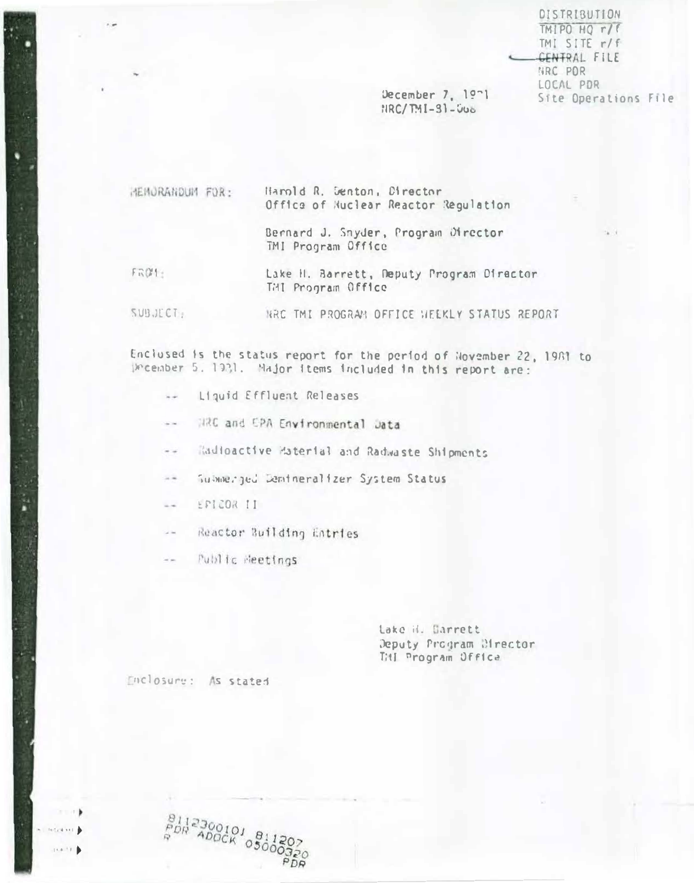DISTRIBUTION TMIPO HQ r/f TMI SITE r/f **GENTRAL FILE** NRC POR LOCAL PDR Site Operations File

December 7,  $19-1$  $HRC/IMI-31-506$ 

HEMORANDUM FOR: Harold R. Senton, Director Office of Nuclear Reactor Regulation

> Bernard J. Snyder, Program Director TMI Program Office

FRØ1: Lake H. Barrett, Deputy Program Director THI Program Office

SUBJECT: HRC TMI PROGRAM OFFICE HEEKLY STATUS REPORT

Enclused is the status report for the period of November 22, 1981 to December 5. 1931. Major items included in this report are:

- Liquid Effluent Releases  $\sim$   $\sim$
- HRC and EPA Environmental Jata  $\sim$   $\sim$
- Radioactive Haterial and Radwaste Shipments  $\sim$   $\sim$
- Submerged Demineralizer System Status  $= +$
- EPICOR II  $\sim$   $\sim$
- Reactor Building Entries  $\sim 10$
- Public Heetings  $\omega$  on

Lake H. Barrett Deputy Program Mirector Titl Program Office

Enclosure: As stated

 ${}^{8112300101}_{PDR} {}^{8112300101}_{AD00K} {}^{81}_{030}$ 

**HELAND**  $1 + 4 + 7$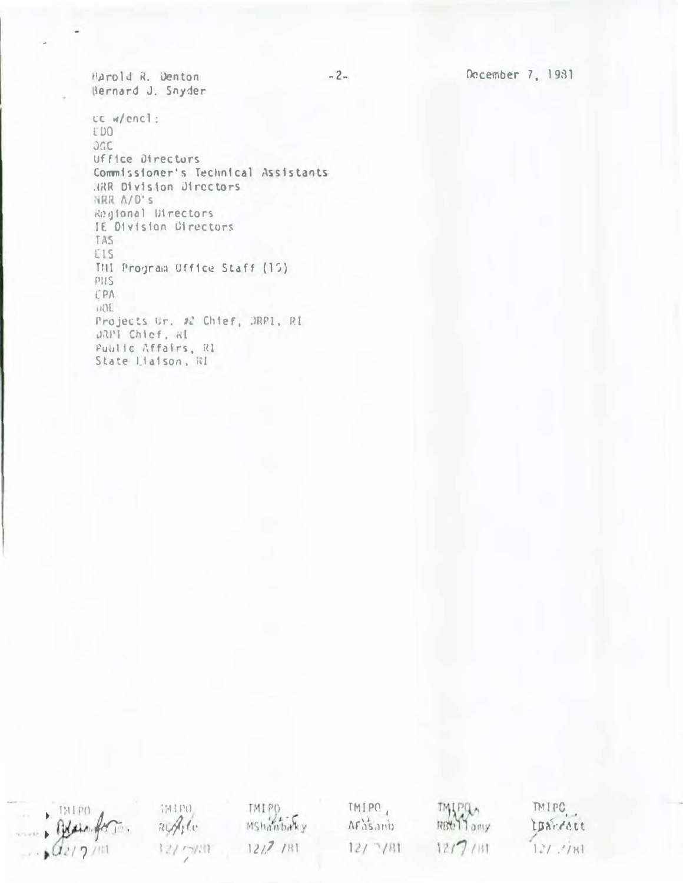December 7, 1981

Harold R. Denton Bernard J. Snyder

cc w/encl: EDO JGC Uffice Directors Commissioner's Technical Assistants HRR Division Directors NRR A/D's Regional Directors IE Division Directors TAS EIS THI Program Office Staff (15)  $PIIS$ EPA **HOL** Projects Gr. 22 Chief, DRPI, RI DRPI Chief, Al Public Affairs, R1 State Liaison, RI

 $-2-$ 

 $\rightarrow$  ENIPO

TMIPO RiAdo 12/ 7/31

TMIP() Mshanbaky  $1217/181$ 

TMIPO, AFasania  $12/7/81$ 

**TMIPA** RBt 11 amy  $12/7/181$ 

TMIPC. IBandatt  $121.781$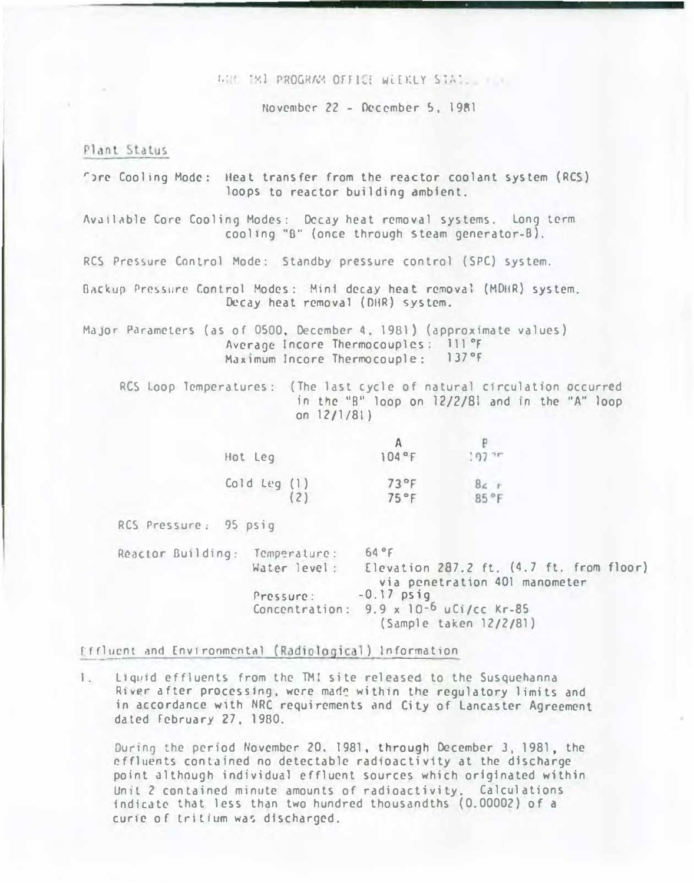WHE TWI PROGRAM OFFICE WEEKLY STATE

November 22 - December 5, 1981

## Plant Status

Thre Cooling Mode: Heat transfer from the reactor coolant system (RCS) loops to reactor building ambient.

Available Core Cooling Modes: Decay heat removal systems. Long term cooling "8" (once through steam generator-B).

RCS Pressure Control Mode: Standby pressure control (SPC) system.

Backup Pressure Control Modes: Min1 decay heat removal (MDHR) system. Decay heat removal (DHR) system.

Major Parameters (as of 0500, December 4, 1981) (approximate values) Average Incore Thermocouples: 111°F Maximum Incore Thermocouple:  $137°F$ 

RCS Loop Temperatures: (The last cycle of natural circulation occurred in the "B" loop on 12/2/81 and in the "A" loop on  $12/1/81$ )

| Hot Leg                                  | 104°F | $.97 -$ |
|------------------------------------------|-------|---------|
| $\frac{\text{cold leg} (1)}{\text{(2)}}$ | 73°F  | $8c$ r  |
|                                          | 75°F  | 85°F    |

RCS Pressure: 95 psig

Reactor Building: Temperature:  $64°F$ Water level: Elevation 287.2 ft. (4.7 ft. from floor) via penetration 401 manometer Pressure:  $-0.17$  psig<br>Concentration:  $9.9 \times 10^{-6}$  uCi/cc Kr-85 (Sample taken 12/2/81)

Effluent and Environmental (Radiological) Information

1. Liquid effluents from the TMI site released to the Susquehanna River after processing, were made within the regulatory limits and in accordance with NRC requirements and City of Lancaster Agreement dated February 27, 1980.

During the period November 20, 1981, through December 3, 1981, the effluents contained no detectable radioactivity at the discharge point although individual effluent sources which originated within Unit 2 contained minute amounts of radioactivity, Calculations indicate that less than two hundred thousandths (0.00002) of a curie of tritium was discharged.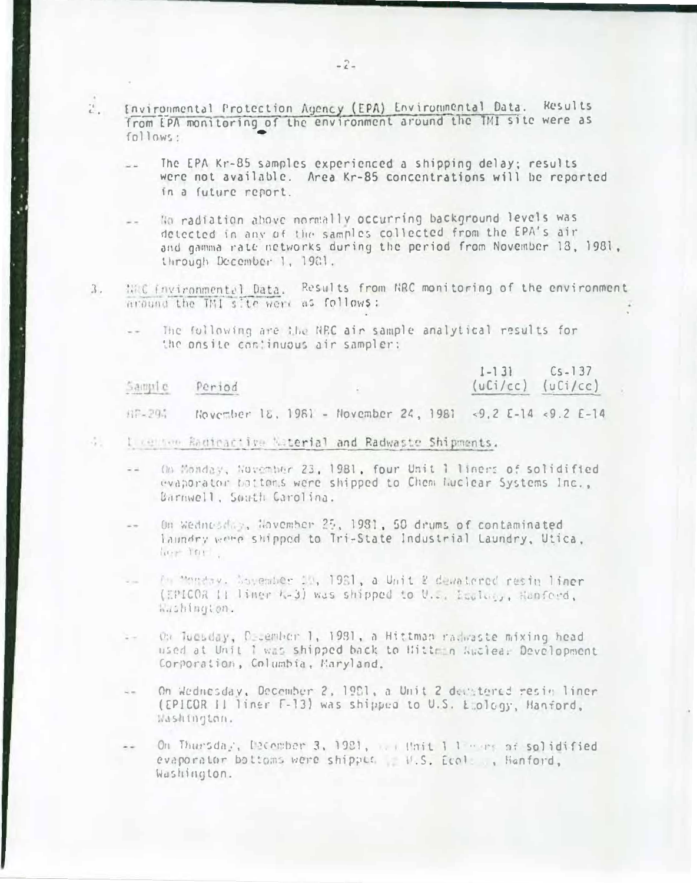- Environmental Protection Agency (EPA) Environmental Data. Results  $\tilde{c}_{\rm max}^{\rm th}$ from EPA monitoring of the environment around the TMI site were as  $f$ ollows:
	- The EPA Kr-85 samples experienced a shipping delay; results were not available. Area Kr-85 concentrations will be reported in a future report.
	- No radiation above normally occurring background levels was detected in any of the samples collected from the EPA's air and gamma rate networks during the period from November 13, 1981. through December 1, 1981.
- WHO Environmental Data. Results from NRC monitoring of the environment  $3.$ around the TMI site were as follows:
	- The fullowing are the NRC air sample analytical results for the onsite continuous air sampler:

|        | Sample Period                                             | $L =  3 $ $L =  3 $<br>$(uCi/cc)$ $(uCi/cc)$ |
|--------|-----------------------------------------------------------|----------------------------------------------|
| 87-294 | November 18, 1981 - November 24, 1981 <9.2 E-14 <9.2 E-14 |                                              |

- L censon Radinactive Naterial and Radwaste Shipments.
	- On Monday, November 23, 1981, four Unit 1 liners of solidified evaporator batters were shipped to Chem Nuclear Systems Inc.. Barnwell, South Carolina.
	- On Weitnesday, November 25, 1981, 50 drums of contaminated  $\sim$   $\sim$ laundry write shipped to Tri-State Industrial Laundry, Utica, lies in
	- The monday. November 11, 1961, a Unit 2 devatored resin liner Res. (EPICOR II liner k-3) was shipped to U.S. Isalan, Hanford, mushington.
	- On Tuesday, Priember 1, 1981, a Hittman radwaste mixing head  $\frac{1}{2}$ used at Unit 1 was shipped back to Hitte n Wuclea. Development Corporation, Columbia, Maryland.
	- On Wednesday, December 2, 1981, a Unit 2 decitored resin liner (EPICOR II liner F-13) was shipped to U.S. E ology, Hanford, Washington.
	- On Thursday, December 3, 1921, I thit 1 1 min of solidified evaporator bottoms were shipple . W.S. Ecol . Hanford, Washington.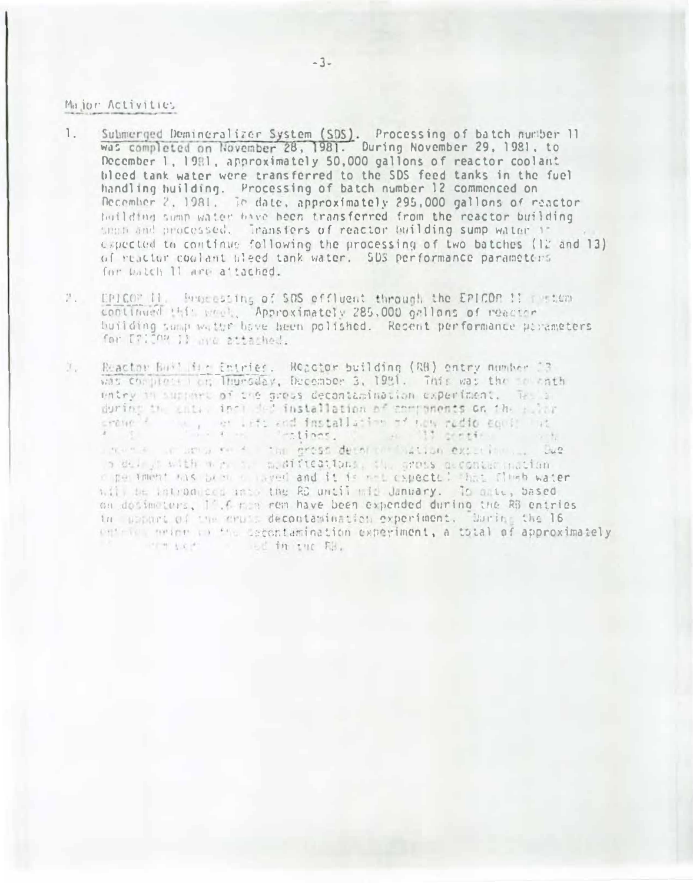## Major Activities

- Submerged Demineralizer System (SDS). Processing of batch number 11 was completed on November 28, 1981. During November 29, 1981, to  $\mathbb{1}$ . December 1, 1981, approximately 50,000 gallons of reactor coolant bleed tank water were transferred to the SDS feed tanks in the fuel handling huilding. Processing of batch number 12 commenced on December 2, 1981, Te date, approximately 295,000 gallons of reactor building sumplyater bave been transferred from the reactor building smadd and processed. Transfers of reactor building sump water if expected to continue following the processing of two batches (12 and 13) of reactor coolant bleed tank water. SDS performance parameters for Patch 11 are attached.
- 7. EPICOP II, Processing of SOS effluent through the EPICOP !! I stan continued this week. Approximately 285,000 gallons of reactor building sump water have been polished. Resent performance parameters for [7] On j] are attached.
- 加工 Reactor Buff Hir Entries. Reactor building (RB) entry number 23 was complete for Thursday, December 3, 1981. This was the mother entry in support of the grots decontamination experiment. This is crewell with an info and installation of way redio could be a continue, a ligentia del were a unusuare the cross deed on histian experience. Due in delight with mich is a diffeotives, the grous accompanies mation o per iment has been a naved and it is not expected that fluch water will be introduced uses the RB until wit Jenuary. To date, based on docimaters, 11.6 man rem have been expended during the RB entries in upport of the cruit decontamination experiment. Upring the 16 entries meaned in the Secontamination experiment, a total of approximately o od in the file. inter suces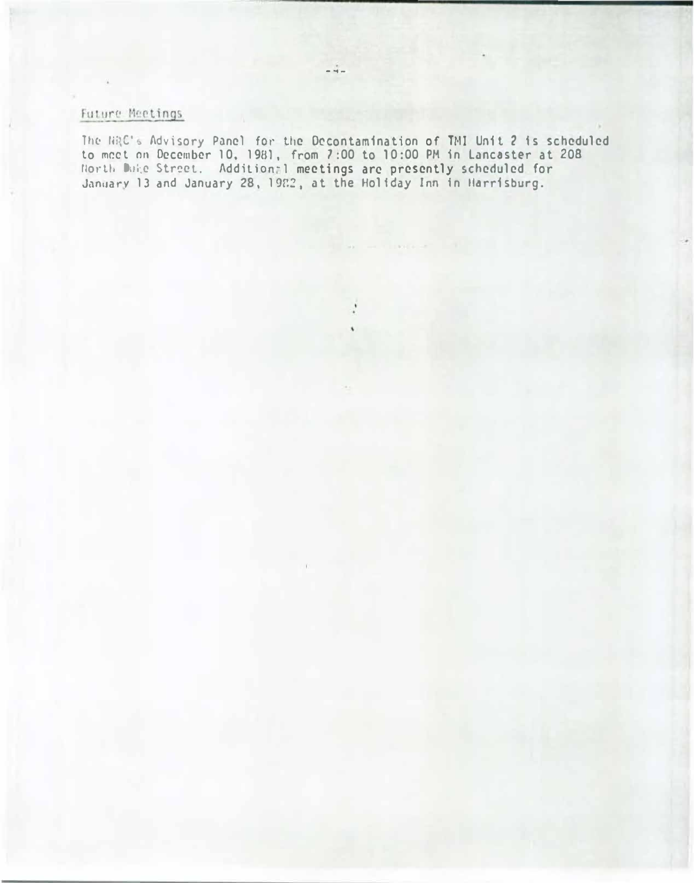## Future Meetings

The NAC's Advisory Panel for the Decontamination of TMI Unit 2 is scheduled to meet on December 10, 1981, from 7:00 to 10:00 PM in Lancaster at 208 r:or·tla O.Jic Str�el. Addilion-1 meetings arc presently scheduled for January Is and January 28, 1982, at the Holiday Inn in Harrisburg.